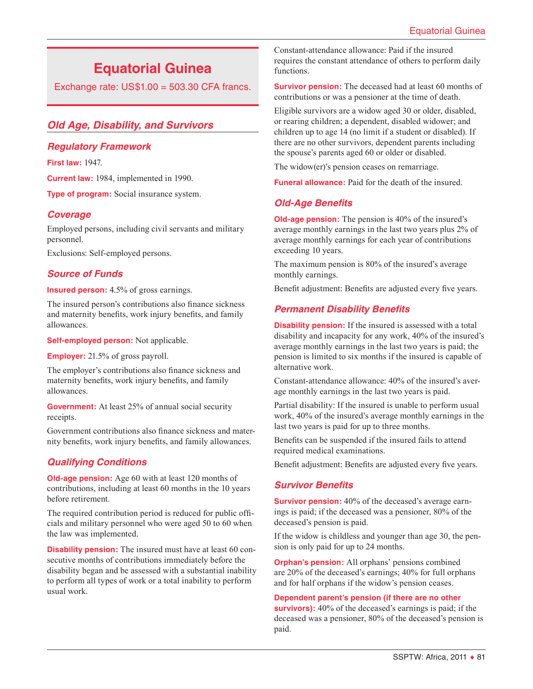# **Equatorial Guinea**

Exchange rate:  $US$1.00 = 503.30$  CFA francs.

# *Old Age, Disability, and Survivors*

## *Regulatory Framework*

**First law:** 1947.

**Current law:** 1984, implemented in 1990.

**Type of program:** Social insurance system.

### *Coverage*

Employed persons, including civil servants and military personnel.

Exclusions: Self-employed persons.

#### *Source of Funds*

**Insured person:** 4.5% of gross earnings.

The insured person's contributions also finance sickness and maternity benefits, work injury benefits, and family allowances.

**Self-employed person:** Not applicable.

**Employer:** 21.5% of gross payroll.

The employer's contributions also finance sickness and maternity benefits, work injury benefits, and family allowances.

**Government:** At least 25% of annual social security receipts.

Government contributions also finance sickness and maternity benefits, work injury benefits, and family allowances.

# *Qualifying Conditions*

**Old-age pension:** Age 60 with at least 120 months of contributions, including at least 60 months in the 10 years before retirement.

The required contribution period is reduced for public officials and military personnel who were aged 50 to 60 when the law was implemented.

**Disability pension:** The insured must have at least 60 consecutive months of contributions immediately before the disability began and be assessed with a substantial inability to perform all types of work or a total inability to perform usual work.

Constant-attendance allowance: Paid if the insured requires the constant attendance of others to perform daily functions.

**Survivor pension:** The deceased had at least 60 months of contributions or was a pensioner at the time of death.

Eligible survivors are a widow aged 30 or older, disabled, or rearing children; a dependent, disabled widower; and children up to age 14 (no limit if a student or disabled). If there are no other survivors, dependent parents including the spouse's parents aged 60 or older or disabled.

The widow(er)'s pension ceases on remarriage.

**Funeral allowance:** Paid for the death of the insured.

# *Old-Age Benefits*

**Old-age pension:** The pension is 40% of the insured's average monthly earnings in the last two years plus 2% of average monthly earnings for each year of contributions exceeding 10 years.

The maximum pension is 80% of the insured's average monthly earnings.

Benefit adjustment: Benefits are adjusted every five years.

# *Permanent Disability Benefits*

**Disability pension:** If the insured is assessed with a total disability and incapacity for any work, 40% of the insured's average monthly earnings in the last two years is paid; the pension is limited to six months if the insured is capable of alternative work.

Constant-attendance allowance: 40% of the insured's average monthly earnings in the last two years is paid.

Partial disability: If the insured is unable to perform usual work, 40% of the insured's average monthly earnings in the last two years is paid for up to three months.

Benefits can be suspended if the insured fails to attend required medical examinations.

Benefit adjustment: Benefits are adjusted every five years.

# *Survivor Benefits*

**Survivor pension:** 40% of the deceased's average earnings is paid; if the deceased was a pensioner, 80% of the deceased's pension is paid.

If the widow is childless and younger than age 30, the pension is only paid for up to 24 months.

**Orphan's pension:** All orphans' pensions combined are 20% of the deceased's earnings; 40% for full orphans and for half orphans if the widow's pension ceases.

#### **Dependent parent's pension (if there are no other**

**survivors):** 40% of the deceased's earnings is paid; if the deceased was a pensioner, 80% of the deceased's pension is paid.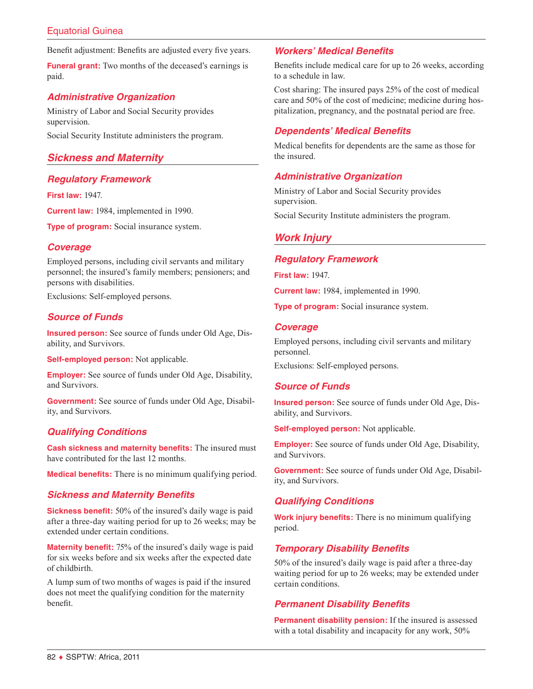# Equatorial Guinea

Benefit adjustment: Benefits are adjusted every five years.

**Funeral grant:** Two months of the deceased's earnings is paid.

# *Administrative Organization*

Ministry of Labor and Social Security provides supervision.

Social Security Institute administers the program.

# *Sickness and Maternity*

# *Regulatory Framework*

**First law:** 1947.

**Current law:** 1984, implemented in 1990.

**Type of program:** Social insurance system.

### *Coverage*

Employed persons, including civil servants and military personnel; the insured's family members; pensioners; and persons with disabilities.

Exclusions: Self-employed persons.

# *Source of Funds*

**Insured person:** See source of funds under Old Age, Disability, and Survivors.

**Self-employed person:** Not applicable.

**Employer:** See source of funds under Old Age, Disability, and Survivors.

**Government:** See source of funds under Old Age, Disability, and Survivors.

### *Qualifying Conditions*

**Cash sickness and maternity benefits:** The insured must have contributed for the last 12 months.

**Medical benefits:** There is no minimum qualifying period.

### *Sickness and Maternity Benefits*

**Sickness benefit:** 50% of the insured's daily wage is paid after a three-day waiting period for up to 26 weeks; may be extended under certain conditions.

**Maternity benefit:** 75% of the insured's daily wage is paid for six weeks before and six weeks after the expected date of childbirth.

A lump sum of two months of wages is paid if the insured does not meet the qualifying condition for the maternity benefit.

# *Workers' Medical Benefits*

Benefits include medical care for up to 26 weeks, according to a schedule in law.

Cost sharing: The insured pays 25% of the cost of medical care and 50% of the cost of medicine; medicine during hospitalization, pregnancy, and the postnatal period are free.

# *Dependents' Medical Benefits*

Medical benefits for dependents are the same as those for the insured.

# *Administrative Organization*

Ministry of Labor and Social Security provides supervision.

Social Security Institute administers the program.

# *Work Injury*

#### *Regulatory Framework*

**First law:** 1947.

**Current law:** 1984, implemented in 1990.

**Type of program:** Social insurance system.

### *Coverage*

Employed persons, including civil servants and military personnel.

Exclusions: Self-employed persons.

### *Source of Funds*

**Insured person:** See source of funds under Old Age, Disability, and Survivors.

**Self-employed person:** Not applicable.

**Employer:** See source of funds under Old Age, Disability, and Survivors.

**Government:** See source of funds under Old Age, Disability, and Survivors.

# *Qualifying Conditions*

**Work injury benefits:** There is no minimum qualifying period.

# *Temporary Disability Benefits*

50% of the insured's daily wage is paid after a three-day waiting period for up to 26 weeks; may be extended under certain conditions.

### *Permanent Disability Benefits*

**Permanent disability pension:** If the insured is assessed with a total disability and incapacity for any work, 50%